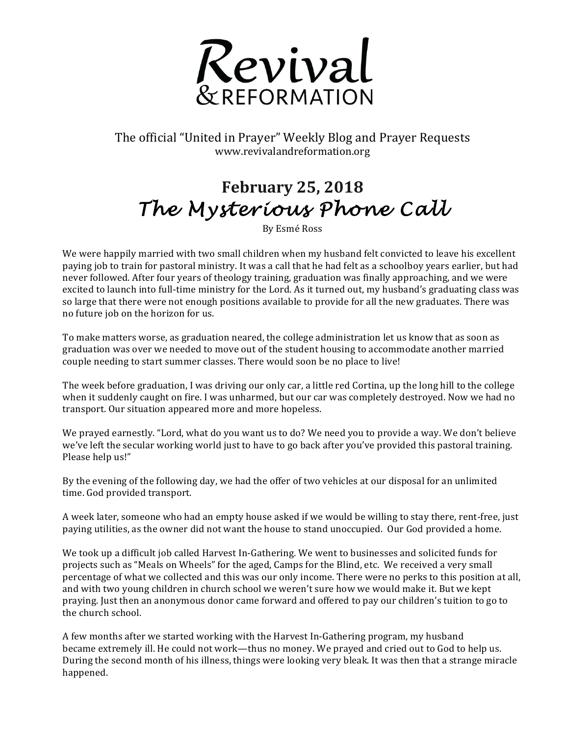

The official "United in Prayer" Weekly Blog and Prayer Requests www.revivalandreformation.org

## **February 25, 2018** *The Mysterious Phone Call*

By Esmé Ross

We were happily married with two small children when my husband felt convicted to leave his excellent paying job to train for pastoral ministry. It was a call that he had felt as a schoolboy years earlier, but had never followed. After four years of theology training, graduation was finally approaching, and we were excited to launch into full-time ministry for the Lord. As it turned out, my husband's graduating class was so large that there were not enough positions available to provide for all the new graduates. There was no future iob on the horizon for us.

To make matters worse, as graduation neared, the college administration let us know that as soon as graduation was over we needed to move out of the student housing to accommodate another married couple needing to start summer classes. There would soon be no place to live!

The week before graduation, I was driving our only car, a little red Cortina, up the long hill to the college when it suddenly caught on fire. I was unharmed, but our car was completely destroyed. Now we had no transport. Our situation appeared more and more hopeless.

We prayed earnestly. "Lord, what do you want us to do? We need you to provide a way. We don't believe we've left the secular working world just to have to go back after you've provided this pastoral training. Please help us!"

By the evening of the following day, we had the offer of two vehicles at our disposal for an unlimited time. God provided transport.

A week later, someone who had an empty house asked if we would be willing to stay there, rent-free, just paying utilities, as the owner did not want the house to stand unoccupied. Our God provided a home.

We took up a difficult job called Harvest In-Gathering. We went to businesses and solicited funds for projects such as "Meals on Wheels" for the aged, Camps for the Blind, etc. We received a very small percentage of what we collected and this was our only income. There were no perks to this position at all, and with two young children in church school we weren't sure how we would make it. But we kept praying. Just then an anonymous donor came forward and offered to pay our children's tuition to go to the church school.

A few months after we started working with the Harvest In-Gathering program, my husband became extremely ill. He could not work—thus no money. We prayed and cried out to God to help us. During the second month of his illness, things were looking very bleak. It was then that a strange miracle happened.